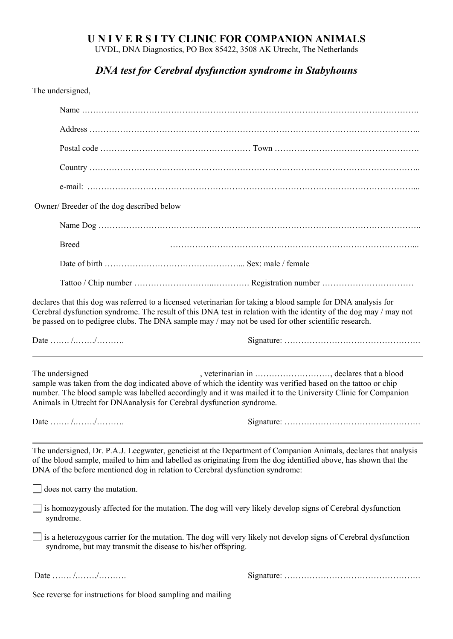## **U N I V E R S I TY CLINIC FOR COMPANION ANIMALS**

UVDL, DNA Diagnostics, PO Box 85422, 3508 AK Utrecht, The Netherlands

## *DNA test for Cerebral dysfunction syndrome in Stabyhouns*

The undersigned,

| Owner/Breeder of the dog described below                                                             |                                                                                                                                                                                                                                                                                                                                           |
|------------------------------------------------------------------------------------------------------|-------------------------------------------------------------------------------------------------------------------------------------------------------------------------------------------------------------------------------------------------------------------------------------------------------------------------------------------|
|                                                                                                      |                                                                                                                                                                                                                                                                                                                                           |
| <b>Breed</b>                                                                                         |                                                                                                                                                                                                                                                                                                                                           |
|                                                                                                      |                                                                                                                                                                                                                                                                                                                                           |
|                                                                                                      |                                                                                                                                                                                                                                                                                                                                           |
|                                                                                                      | declares that this dog was referred to a licensed veterinarian for taking a blood sample for DNA analysis for<br>Cerebral dysfunction syndrome. The result of this DNA test in relation with the identity of the dog may / may not<br>be passed on to pedigree clubs. The DNA sample may / may not be used for other scientific research. |
| Date  //                                                                                             |                                                                                                                                                                                                                                                                                                                                           |
| The undersigned<br>Animals in Utrecht for DNAanalysis for Cerebral dysfunction syndrome.<br>Date  // | , veterinarian in , declares that a blood<br>sample was taken from the dog indicated above of which the identity was verified based on the tattoo or chip<br>number. The blood sample was labelled accordingly and it was mailed it to the University Clinic for Companion                                                                |
| DNA of the before mentioned dog in relation to Cerebral dysfunction syndrome:                        | The undersigned, Dr. P.A.J. Leegwater, geneticist at the Department of Companion Animals, declares that analysis<br>of the blood sample, mailed to him and labelled as originating from the dog identified above, has shown that the                                                                                                      |
| $\Box$ does not carry the mutation.                                                                  |                                                                                                                                                                                                                                                                                                                                           |
| syndrome.                                                                                            | $\Box$ is homozygously affected for the mutation. The dog will very likely develop signs of Cerebral dysfunction                                                                                                                                                                                                                          |
| syndrome, but may transmit the disease to his/her offspring.                                         | $\Box$ is a heterozygous carrier for the mutation. The dog will very likely not develop signs of Cerebral dysfunction                                                                                                                                                                                                                     |
| Date  //                                                                                             |                                                                                                                                                                                                                                                                                                                                           |
| See reverse for instructions for blood sampling and mailing                                          |                                                                                                                                                                                                                                                                                                                                           |